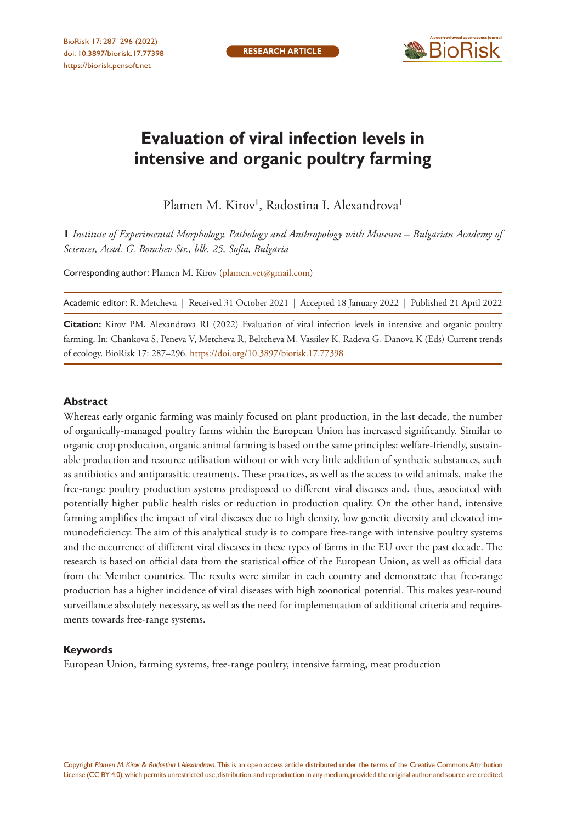

# **Evaluation of viral infection levels in intensive and organic poultry farming**

Plamen M. Kirov<sup>I</sup>, Radostina I. Alexandrova<sup>1</sup>

**1** *Institute of Experimental Morphology, Pathology and Anthropology with Museum – Bulgarian Academy of Sciences, Acad. G. Bonchev Str., blk. 25, Sofia, Bulgaria*

Corresponding author: Plamen M. Kirov ([plamen.vet@gmail.com](mailto:plamen.vet@gmail.com))

Academic editor: R. Metcheva | Received 31 October 2021 | Accepted 18 January 2022 | Published 21 April 2022

**Citation:** Kirov PM, Alexandrova RI (2022) Evaluation of viral infection levels in intensive and organic poultry farming. In: Chankova S, Peneva V, Metcheva R, Beltcheva M, Vassilev K, Radeva G, Danova K (Eds) Current trends of ecology. BioRisk 17: 287–296.<https://doi.org/10.3897/biorisk.17.77398>

#### **Abstract**

Whereas early organic farming was mainly focused on plant production, in the last decade, the number of organically-managed poultry farms within the European Union has increased significantly. Similar to organic crop production, organic animal farming is based on the same principles: welfare-friendly, sustainable production and resource utilisation without or with very little addition of synthetic substances, such as antibiotics and antiparasitic treatments. These practices, as well as the access to wild animals, make the free-range poultry production systems predisposed to different viral diseases and, thus, associated with potentially higher public health risks or reduction in production quality. On the other hand, intensive farming amplifies the impact of viral diseases due to high density, low genetic diversity and elevated immunodeficiency. The aim of this analytical study is to compare free-range with intensive poultry systems and the occurrence of different viral diseases in these types of farms in the EU over the past decade. The research is based on official data from the statistical office of the European Union, as well as official data from the Member countries. The results were similar in each country and demonstrate that free-range production has a higher incidence of viral diseases with high zoonotical potential. This makes year-round surveillance absolutely necessary, as well as the need for implementation of additional criteria and requirements towards free-range systems.

#### **Keywords**

European Union, farming systems, free-range poultry, intensive farming, meat production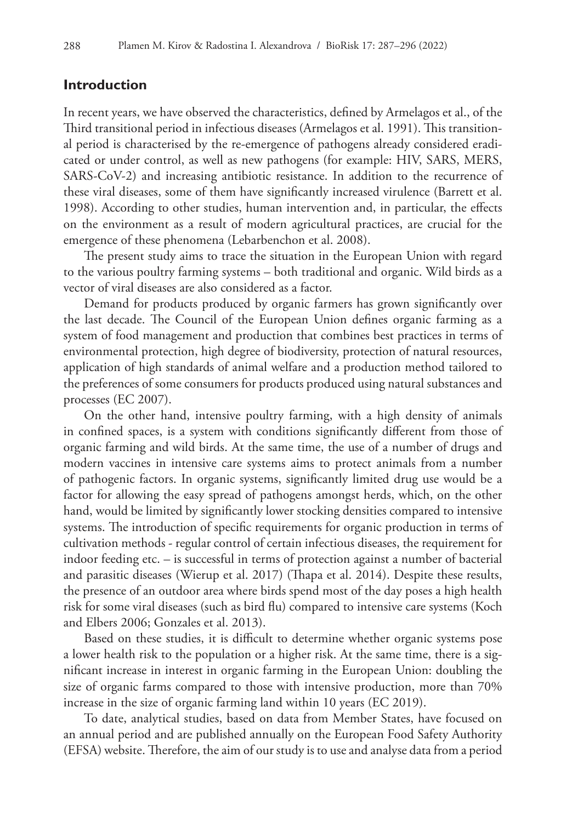## **Introduction**

In recent years, we have observed the characteristics, defined by Armelagos et al., of the Third transitional period in infectious diseases (Armelagos et al. 1991). This transitional period is characterised by the re-emergence of pathogens already considered eradicated or under control, as well as new pathogens (for example: HIV, SARS, MERS, SARS-CoV-2) and increasing antibiotic resistance. In addition to the recurrence of these viral diseases, some of them have significantly increased virulence (Barrett et al. 1998). According to other studies, human intervention and, in particular, the effects on the environment as a result of modern agricultural practices, are crucial for the emergence of these phenomena (Lebarbenchon et al. 2008).

The present study aims to trace the situation in the European Union with regard to the various poultry farming systems – both traditional and organic. Wild birds as a vector of viral diseases are also considered as a factor.

Demand for products produced by organic farmers has grown significantly over the last decade. The Council of the European Union defines organic farming as a system of food management and production that combines best practices in terms of environmental protection, high degree of biodiversity, protection of natural resources, application of high standards of animal welfare and a production method tailored to the preferences of some consumers for products produced using natural substances and processes (EC 2007).

On the other hand, intensive poultry farming, with a high density of animals in confined spaces, is a system with conditions significantly different from those of organic farming and wild birds. At the same time, the use of a number of drugs and modern vaccines in intensive care systems aims to protect animals from a number of pathogenic factors. In organic systems, significantly limited drug use would be a factor for allowing the easy spread of pathogens amongst herds, which, on the other hand, would be limited by significantly lower stocking densities compared to intensive systems. The introduction of specific requirements for organic production in terms of cultivation methods - regular control of certain infectious diseases, the requirement for indoor feeding etc. – is successful in terms of protection against a number of bacterial and parasitic diseases (Wierup et al. 2017) (Thapa et al. 2014). Despite these results, the presence of an outdoor area where birds spend most of the day poses a high health risk for some viral diseases (such as bird flu) compared to intensive care systems (Koch and Elbers 2006; Gonzales et al. 2013).

Based on these studies, it is difficult to determine whether organic systems pose a lower health risk to the population or a higher risk. At the same time, there is a significant increase in interest in organic farming in the European Union: doubling the size of organic farms compared to those with intensive production, more than 70% increase in the size of organic farming land within 10 years (EC 2019).

To date, analytical studies, based on data from Member States, have focused on an annual period and are published annually on the European Food Safety Authority (EFSA) website. Therefore, the aim of our study is to use and analyse data from a period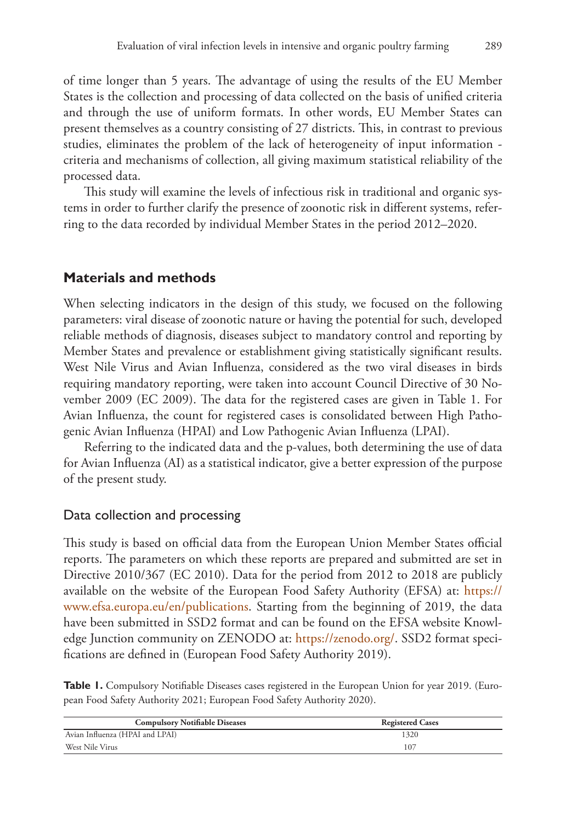of time longer than 5 years. The advantage of using the results of the EU Member States is the collection and processing of data collected on the basis of unified criteria and through the use of uniform formats. In other words, EU Member States can present themselves as a country consisting of 27 districts. This, in contrast to previous studies, eliminates the problem of the lack of heterogeneity of input information criteria and mechanisms of collection, all giving maximum statistical reliability of the processed data.

This study will examine the levels of infectious risk in traditional and organic systems in order to further clarify the presence of zoonotic risk in different systems, referring to the data recorded by individual Member States in the period 2012–2020.

# **Materials and methods**

When selecting indicators in the design of this study, we focused on the following parameters: viral disease of zoonotic nature or having the potential for such, developed reliable methods of diagnosis, diseases subject to mandatory control and reporting by Member States and prevalence or establishment giving statistically significant results. West Nile Virus and Avian Influenza, considered as the two viral diseases in birds requiring mandatory reporting, were taken into account Council Directive of 30 November 2009 (EC 2009). The data for the registered cases are given in Table 1. For Avian Influenza, the count for registered cases is consolidated between High Pathogenic Avian Influenza (HPAI) and Low Pathogenic Avian Influenza (LPAI).

Referring to the indicated data and the p-values, both determining the use of data for Avian Influenza (AI) as a statistical indicator, give a better expression of the purpose of the present study.

## Data collection and processing

This study is based on official data from the European Union Member States official reports. The parameters on which these reports are prepared and submitted are set in Directive 2010/367 (EC 2010). Data for the period from 2012 to 2018 are publicly available on the website of the European Food Safety Authority (EFSA) at: [https://](https://www.efsa.europa.eu/en/publications) [www.efsa.europa.eu/en/publications](https://www.efsa.europa.eu/en/publications). Starting from the beginning of 2019, the data have been submitted in SSD2 format and can be found on the EFSA website Knowledge Junction community on ZENODO at:<https://zenodo.org/>. SSD2 format specifications are defined in (European Food Safety Authority 2019).

Table 1. Compulsory Notifiable Diseases cases registered in the European Union for year 2019. (European Food Safety Authority 2021; European Food Safety Authority 2020).

| <b>Compulsory Notifiable Diseases</b> | <b>Registered Cases</b> |  |  |  |  |
|---------------------------------------|-------------------------|--|--|--|--|
| Avian Influenza (HPAI and LPAI)       | 1320                    |  |  |  |  |
| West Nile Virus                       | 107                     |  |  |  |  |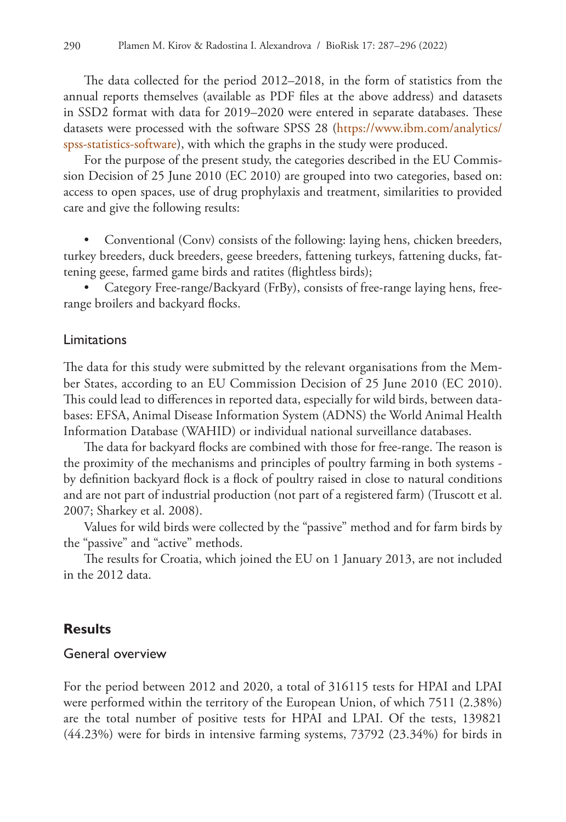The data collected for the period 2012–2018, in the form of statistics from the annual reports themselves (available as PDF files at the above address) and datasets in SSD2 format with data for 2019–2020 were entered in separate databases. These datasets were processed with the software SPSS 28 [\(https://www.ibm.com/analytics/](https://www.ibm.com/analytics/spss-statistics-software) [spss-statistics-software](https://www.ibm.com/analytics/spss-statistics-software)), with which the graphs in the study were produced.

For the purpose of the present study, the categories described in the EU Commission Decision of 25 June 2010 (EC 2010) are grouped into two categories, based on: access to open spaces, use of drug prophylaxis and treatment, similarities to provided care and give the following results:

• Conventional (Conv) consists of the following: laying hens, chicken breeders, turkey breeders, duck breeders, geese breeders, fattening turkeys, fattening ducks, fattening geese, farmed game birds and ratites (flightless birds);

• Category Free-range/Backyard (FrBy), consists of free-range laying hens, freerange broilers and backyard flocks.

#### Limitations

The data for this study were submitted by the relevant organisations from the Member States, according to an EU Commission Decision of 25 June 2010 (EC 2010). This could lead to differences in reported data, especially for wild birds, between databases: EFSA, Animal Disease Information System (ADNS) the World Animal Health Information Database (WAHID) or individual national surveillance databases.

The data for backyard flocks are combined with those for free-range. The reason is the proximity of the mechanisms and principles of poultry farming in both systems by definition backyard flock is a flock of poultry raised in close to natural conditions and are not part of industrial production (not part of a registered farm) (Truscott et al. 2007; Sharkey et al. 2008).

Values for wild birds were collected by the "passive" method and for farm birds by the "passive" and "active" methods.

The results for Croatia, which joined the EU on 1 January 2013, are not included in the 2012 data.

## **Results**

## General overview

For the period between 2012 and 2020, a total of 316115 tests for HPAI and LPAI were performed within the territory of the European Union, of which 7511 (2.38%) are the total number of positive tests for HPAI and LPAI. Of the tests, 139821 (44.23%) were for birds in intensive farming systems, 73792 (23.34%) for birds in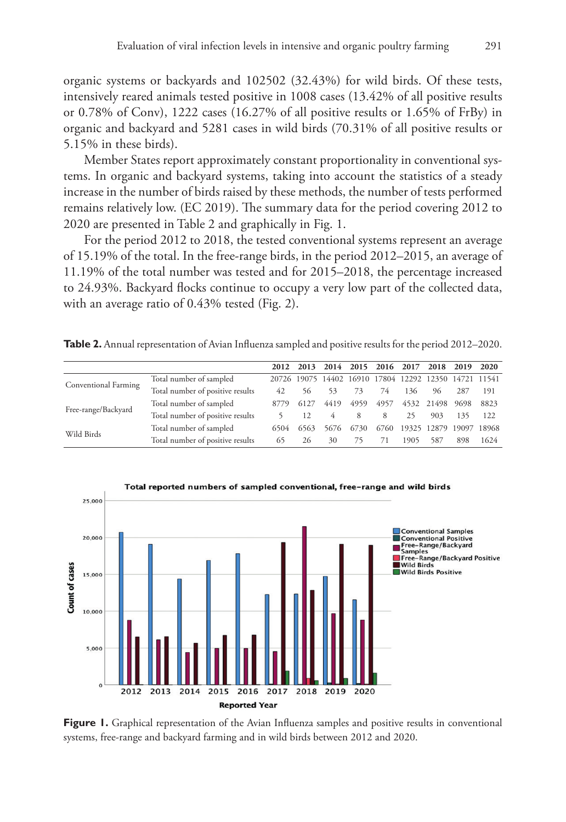organic systems or backyards and 102502 (32.43%) for wild birds. Of these tests, intensively reared animals tested positive in 1008 cases (13.42% of all positive results or 0.78% of Conv), 1222 cases (16.27% of all positive results or 1.65% of FrBy) in organic and backyard and 5281 cases in wild birds (70.31% of all positive results or 5.15% in these birds).

Member States report approximately constant proportionality in conventional systems. In organic and backyard systems, taking into account the statistics of a steady increase in the number of birds raised by these methods, the number of tests performed remains relatively low. (EC 2019). The summary data for the period covering 2012 to 2020 are presented in Table 2 and graphically in Fig. 1.

For the period 2012 to 2018, the tested conventional systems represent an average of 15.19% of the total. In the free-range birds, in the period 2012–2015, an average of 11.19% of the total number was tested and for 2015–2018, the percentage increased to 24.93%. Backyard flocks continue to occupy a very low part of the collected data, with an average ratio of 0.43% tested (Fig. 2).

**Table 2.** Annual representation of Avian Influenza sampled and positive results for the period 2012–2020.

|                      |                                  | 2012 |      | 2013 2014 2015 2016 2017                              |      |      |      | 2018 2019 2020    |      |       |
|----------------------|----------------------------------|------|------|-------------------------------------------------------|------|------|------|-------------------|------|-------|
| Conventional Farming | Total number of sampled          |      |      | 20726 19075 14402 16910 17804 12292 12350 14721 11541 |      |      |      |                   |      |       |
|                      | Total number of positive results | 42   | 56   | 53                                                    | 73   | 74   | 136  | 96                | 287  | 191   |
| Free-range/Backyard  | Total number of sampled          | 8779 | 6127 | 4419                                                  | 4959 | 4957 |      | 4532 21498        | 9698 | 8823  |
|                      | Total number of positive results |      |      |                                                       | 8    | 8    | 25   | 903               | 135  | 122   |
| Wild Birds           | Total number of sampled          | 6504 | 6563 | 5676                                                  | 6730 | 6760 |      | 19325 12879 19097 |      | 18968 |
|                      | Total number of positive results | 65   | 26   | 30                                                    | 75   |      | 1905 | 587               | 898  | 1624  |



**Figure 1.** Graphical representation of the Avian Influenza samples and positive results in conventional systems, free-range and backyard farming and in wild birds between 2012 and 2020.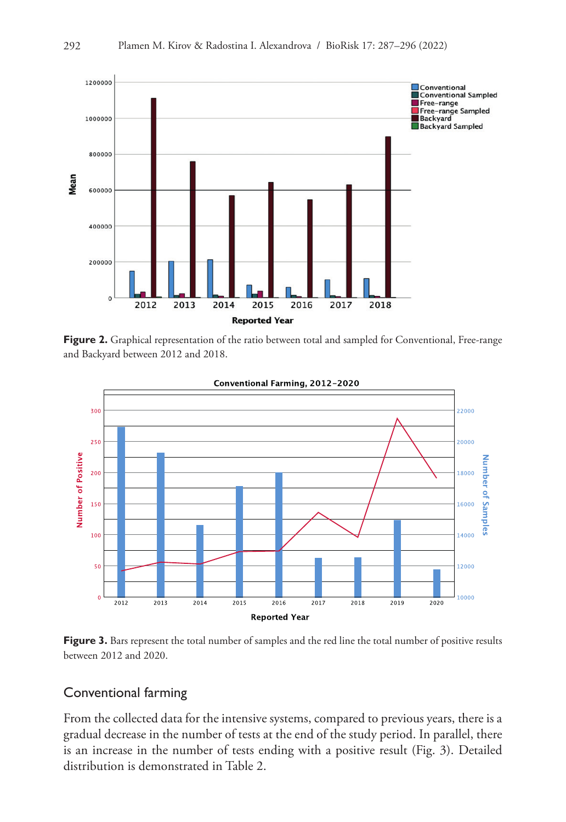

Figure 2. Graphical representation of the ratio between total and sampled for Conventional, Free-range and Backyard between 2012 and 2018.



Figure 3. Bars represent the total number of samples and the red line the total number of positive results between 2012 and 2020.

## Conventional farming

From the collected data for the intensive systems, compared to previous years, there is a gradual decrease in the number of tests at the end of the study period. In parallel, there is an increase in the number of tests ending with a positive result (Fig. 3). Detailed distribution is demonstrated in Table 2.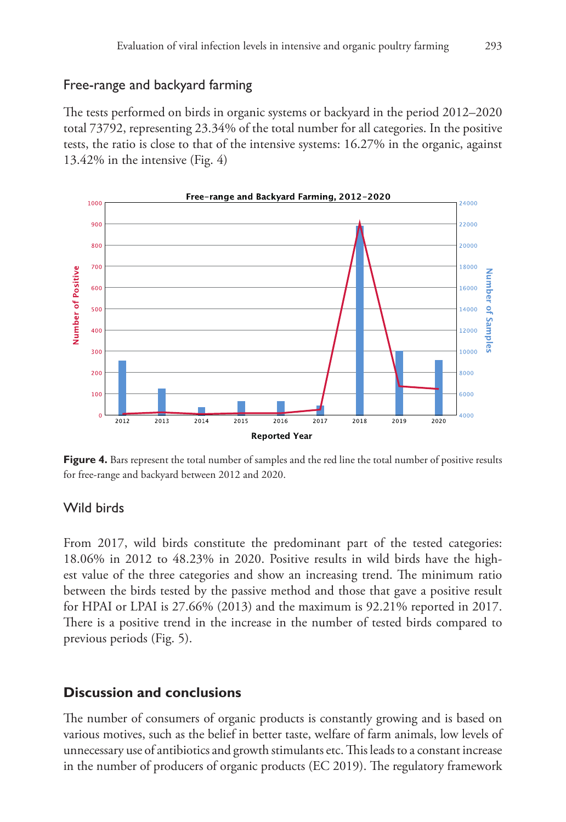## Free-range and backyard farming

The tests performed on birds in organic systems or backyard in the period 2012–2020 total 73792, representing 23.34% of the total number for all categories. In the positive tests, the ratio is close to that of the intensive systems: 16.27% in the organic, against 13.42% in the intensive (Fig. 4)



Figure 4. Bars represent the total number of samples and the red line the total number of positive results for free-range and backyard between 2012 and 2020.

## Wild birds

From 2017, wild birds constitute the predominant part of the tested categories: 18.06% in 2012 to 48.23% in 2020. Positive results in wild birds have the highest value of the three categories and show an increasing trend. The minimum ratio between the birds tested by the passive method and those that gave a positive result for HPAI or LPAI is 27.66% (2013) and the maximum is 92.21% reported in 2017. There is a positive trend in the increase in the number of tested birds compared to previous periods (Fig. 5).

# **Discussion and conclusions**

The number of consumers of organic products is constantly growing and is based on various motives, such as the belief in better taste, welfare of farm animals, low levels of unnecessary use of antibiotics and growth stimulants etc. This leads to a constant increase in the number of producers of organic products (EC 2019). The regulatory framework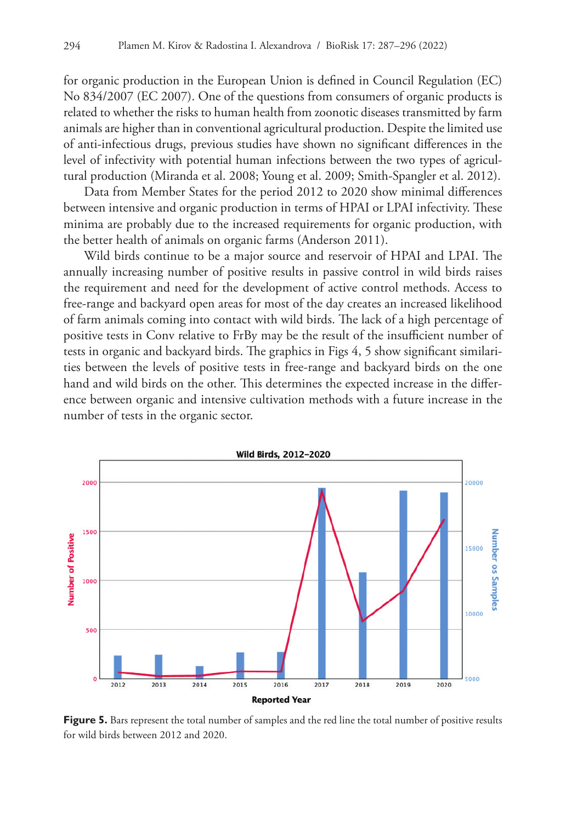for organic production in the European Union is defined in Council Regulation (EC) No 834/2007 (EC 2007). One of the questions from consumers of organic products is related to whether the risks to human health from zoonotic diseases transmitted by farm animals are higher than in conventional agricultural production. Despite the limited use of anti-infectious drugs, previous studies have shown no significant differences in the level of infectivity with potential human infections between the two types of agricultural production (Miranda et al. 2008; Young et al. 2009; Smith-Spangler et al. 2012).

Data from Member States for the period 2012 to 2020 show minimal differences between intensive and organic production in terms of HPAI or LPAI infectivity. These minima are probably due to the increased requirements for organic production, with the better health of animals on organic farms (Anderson 2011).

Wild birds continue to be a major source and reservoir of HPAI and LPAI. The annually increasing number of positive results in passive control in wild birds raises the requirement and need for the development of active control methods. Access to free-range and backyard open areas for most of the day creates an increased likelihood of farm animals coming into contact with wild birds. The lack of a high percentage of positive tests in Conv relative to FrBy may be the result of the insufficient number of tests in organic and backyard birds. The graphics in Figs 4, 5 show significant similarities between the levels of positive tests in free-range and backyard birds on the one hand and wild birds on the other. This determines the expected increase in the difference between organic and intensive cultivation methods with a future increase in the number of tests in the organic sector.



**Figure 5.** Bars represent the total number of samples and the red line the total number of positive results for wild birds between 2012 and 2020.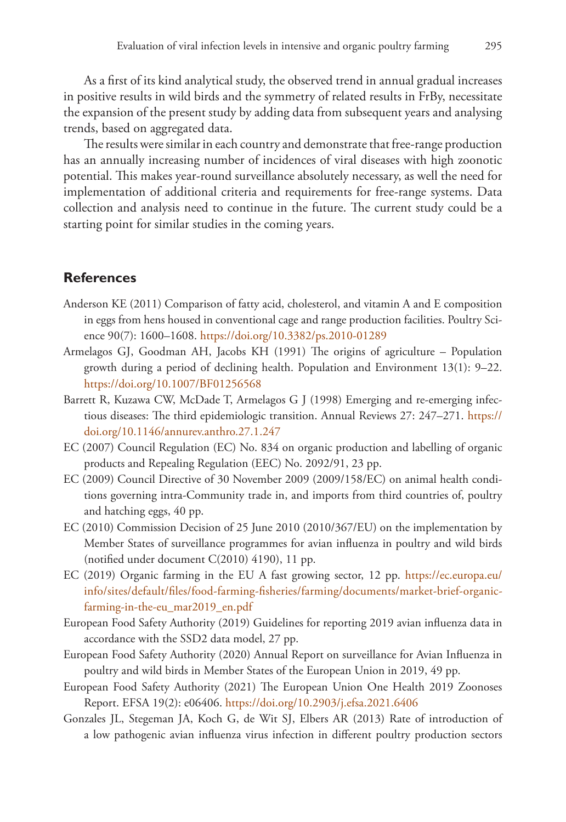As a first of its kind analytical study, the observed trend in annual gradual increases in positive results in wild birds and the symmetry of related results in FrBy, necessitate the expansion of the present study by adding data from subsequent years and analysing trends, based on aggregated data.

The results were similar in each country and demonstrate that free-range production has an annually increasing number of incidences of viral diseases with high zoonotic potential. This makes year-round surveillance absolutely necessary, as well the need for implementation of additional criteria and requirements for free-range systems. Data collection and analysis need to continue in the future. The current study could be a starting point for similar studies in the coming years.

## **References**

- Anderson KE (2011) Comparison of fatty acid, cholesterol, and vitamin A and E composition in eggs from hens housed in conventional cage and range production facilities. Poultry Science 90(7): 1600–1608. <https://doi.org/10.3382/ps.2010-01289>
- Armelagos GJ, Goodman AH, Jacobs KH (1991) The origins of agriculture Population growth during a period of declining health. Population and Environment 13(1): 9–22. <https://doi.org/10.1007/BF01256568>
- Barrett R, Kuzawa CW, McDade T, Armelagos G J (1998) Emerging and re-emerging infectious diseases: The third epidemiologic transition. Annual Reviews 27: 247–271. [https://](https://doi.org/10.1146/annurev.anthro.27.1.247) [doi.org/10.1146/annurev.anthro.27.1.247](https://doi.org/10.1146/annurev.anthro.27.1.247)
- EC (2007) Council Regulation (EC) No. 834 on organic production and labelling of organic products and Repealing Regulation (EEC) No. 2092/91, 23 pp.
- EC (2009) Council Directive of 30 November 2009 (2009/158/EC) on animal health conditions governing intra-Community trade in, and imports from third countries of, poultry and hatching eggs, 40 pp.
- EC (2010) Commission Decision of 25 June 2010 (2010/367/EU) on the implementation by Member States of surveillance programmes for avian influenza in poultry and wild birds (notified under document C(2010) 4190), 11 pp.
- EC (2019) Organic farming in the EU A fast growing sector, 12 pp. [https://ec.europa.eu/](https://ec.europa.eu/info/sites/default/files/food-farming-fisheries/farming/documents/market-brief-organic-farming-in-the-eu_mar2019_en.pdf) [info/sites/default/files/food-farming-fisheries/farming/documents/market-brief-organic](https://ec.europa.eu/info/sites/default/files/food-farming-fisheries/farming/documents/market-brief-organic-farming-in-the-eu_mar2019_en.pdf)[farming-in-the-eu\\_mar2019\\_en.pdf](https://ec.europa.eu/info/sites/default/files/food-farming-fisheries/farming/documents/market-brief-organic-farming-in-the-eu_mar2019_en.pdf)
- European Food Safety Authority (2019) Guidelines for reporting 2019 avian influenza data in accordance with the SSD2 data model, 27 pp.
- European Food Safety Authority (2020) Annual Report on surveillance for Avian Influenza in poultry and wild birds in Member States of the European Union in 2019, 49 pp.
- European Food Safety Authority (2021) The European Union One Health 2019 Zoonoses Report. EFSA 19(2): e06406.<https://doi.org/10.2903/j.efsa.2021.6406>
- Gonzales JL, Stegeman JA, Koch G, de Wit SJ, Elbers AR (2013) Rate of introduction of a low pathogenic avian influenza virus infection in different poultry production sectors